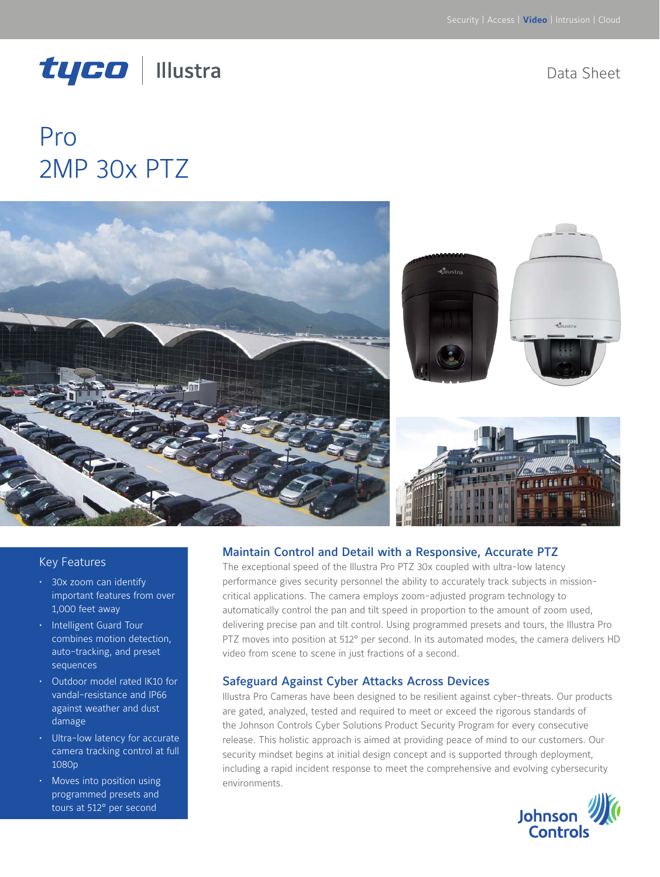# tyco | Illustra

Data Sheet

# Pro 2MP 30x PTZ



#### Key Features

- • 30x zoom can identify important features from over 1,000 feet away
- • Intelligent Guard Tour combines motion detection, auto-tracking, and preset sequences
- Outdoor model rated IK10 for vandal-resistance and IP66 against weather and dust damage
- • Ultra-low latency for accurate camera tracking control at full 1080p
- Moves into position using programmed presets and tours at 512° per second

#### Maintain Control and Detail with a Responsive, Accurate PTZ

The exceptional speed of the Illustra Pro PTZ 30x coupled with ultra-low latency performance gives security personnel the ability to accurately track subjects in missioncritical applications. The camera employs zoom-adjusted program technology to automatically control the pan and tilt speed in proportion to the amount of zoom used, delivering precise pan and tilt control. Using programmed presets and tours, the Illustra Pro PTZ moves into position at 512° per second. In its automated modes, the camera delivers HD video from scene to scene in just fractions of a second.

#### Safeguard Against Cyber Attacks Across Devices

Illustra Pro Cameras have been designed to be resilient against cyber-threats. Our products are gated, analyzed, tested and required to meet or exceed the rigorous standards of the Johnson Controls Cyber Solutions Product Security Program for every consecutive release. This holistic approach is aimed at providing peace of mind to our customers. Our security mindset begins at initial design concept and is supported through deployment, including a rapid incident response to meet the comprehensive and evolving cybersecurity environments.

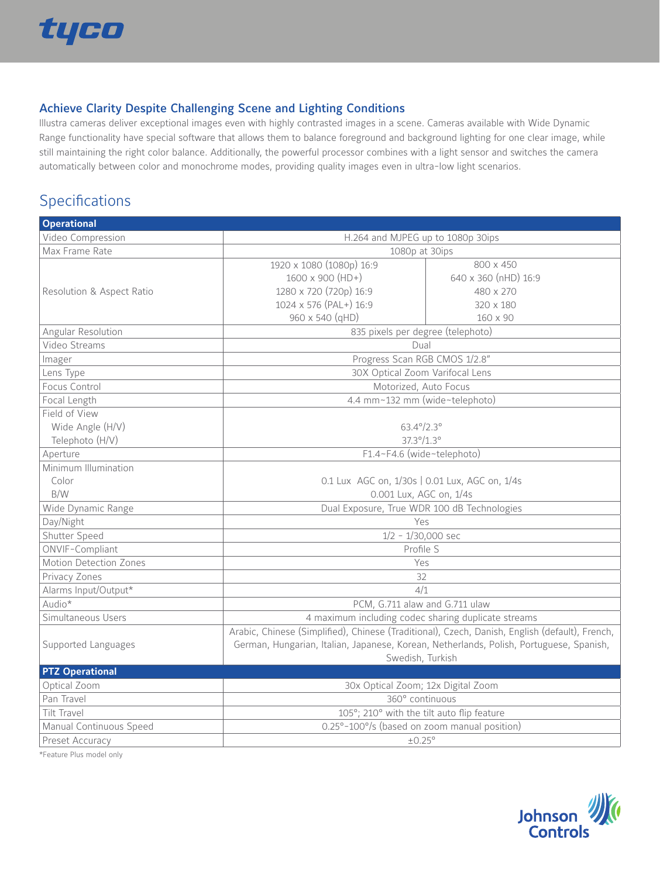

#### Achieve Clarity Despite Challenging Scene and Lighting Conditions

Illustra cameras deliver exceptional images even with highly contrasted images in a scene. Cameras available with Wide Dynamic Range functionality have special software that allows them to balance foreground and background lighting for one clear image, while still maintaining the right color balance. Additionally, the powerful processor combines with a light sensor and switches the camera automatically between color and monochrome modes, providing quality images even in ultra-low light scenarios.

### Specifications

| <b>Operational</b>        |                                                                                                |                      |  |
|---------------------------|------------------------------------------------------------------------------------------------|----------------------|--|
| Video Compression         | H.264 and MJPEG up to 1080p 30ips                                                              |                      |  |
| Max Frame Rate            | 1080p at 30ips                                                                                 |                      |  |
|                           | 1920 x 1080 (1080p) 16:9                                                                       | 800 x 450            |  |
|                           | 1600 x 900 (HD+)                                                                               | 640 x 360 (nHD) 16:9 |  |
| Resolution & Aspect Ratio | 1280 x 720 (720p) 16:9                                                                         | 480 x 270            |  |
|                           | 1024 x 576 (PAL+) 16:9                                                                         | 320 x 180            |  |
|                           | 960 x 540 (qHD)                                                                                | $160 \times 90$      |  |
| Angular Resolution        | 835 pixels per degree (telephoto)                                                              |                      |  |
| Video Streams             | Dual                                                                                           |                      |  |
| Imager                    | Progress Scan RGB CMOS 1/2.8"                                                                  |                      |  |
| Lens Type                 | 30X Optical Zoom Varifocal Lens                                                                |                      |  |
| Focus Control             | Motorized, Auto Focus                                                                          |                      |  |
| Focal Length              | 4.4 mm~132 mm (wide~telephoto)                                                                 |                      |  |
| Field of View             |                                                                                                |                      |  |
| Wide Angle (H/V)          | $63.4^{\circ}/2.3^{\circ}$                                                                     |                      |  |
| Telephoto (H/V)           | $37.3^{\circ}/1.3^{\circ}$                                                                     |                      |  |
| Aperture                  | F1.4~F4.6 (wide~telephoto)                                                                     |                      |  |
| Minimum Illumination      |                                                                                                |                      |  |
| Color                     | 0.1 Lux AGC on, 1/30s   0.01 Lux, AGC on, 1/4s                                                 |                      |  |
| B/W                       | 0.001 Lux, AGC on, 1/4s                                                                        |                      |  |
| Wide Dynamic Range        | Dual Exposure, True WDR 100 dB Technologies                                                    |                      |  |
| Day/Night                 | Yes                                                                                            |                      |  |
| Shutter Speed             | $1/2 - 1/30,000$ sec                                                                           |                      |  |
| ONVIF-Compliant           | Profile S                                                                                      |                      |  |
| Motion Detection Zones    | Yes                                                                                            |                      |  |
| Privacy Zones             | 32                                                                                             |                      |  |
| Alarms Input/Output*      | 4/1                                                                                            |                      |  |
| Audio*                    | PCM, G.711 alaw and G.711 ulaw                                                                 |                      |  |
| Simultaneous Users        | 4 maximum including codec sharing duplicate streams                                            |                      |  |
|                           | Arabic, Chinese (Simplified), Chinese (Traditional), Czech, Danish, English (default), French, |                      |  |
| Supported Languages       | German, Hungarian, Italian, Japanese, Korean, Netherlands, Polish, Portuguese, Spanish,        |                      |  |
|                           | Swedish, Turkish                                                                               |                      |  |
| <b>PTZ Operational</b>    |                                                                                                |                      |  |
| Optical Zoom              | 30x Optical Zoom; 12x Digital Zoom                                                             |                      |  |
| Pan Travel                | 360° continuous                                                                                |                      |  |
| Tilt Travel               | 105°; 210° with the tilt auto flip feature                                                     |                      |  |
| Manual Continuous Speed   | 0.25°-100°/s (based on zoom manual position)                                                   |                      |  |
| Preset Accuracy           | ±0.25°                                                                                         |                      |  |

\*Feature Plus model only

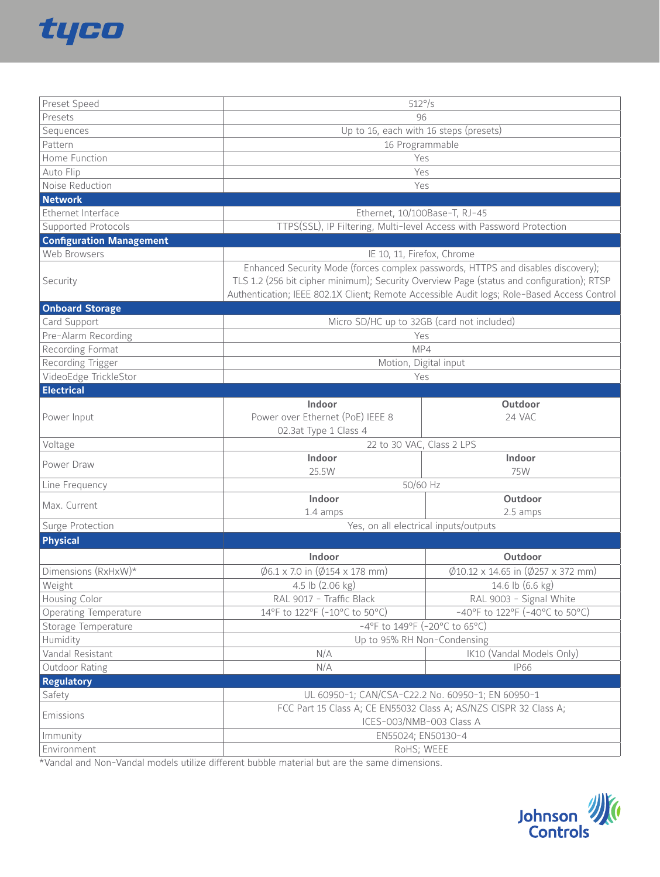

| Preset Speed                    | $512^{\circ}/s$                                                                                                                                                                          |                                                          |  |  |
|---------------------------------|------------------------------------------------------------------------------------------------------------------------------------------------------------------------------------------|----------------------------------------------------------|--|--|
| Presets                         | 96                                                                                                                                                                                       |                                                          |  |  |
| Sequences                       | Up to 16, each with 16 steps (presets)                                                                                                                                                   |                                                          |  |  |
| Pattern                         | 16 Programmable                                                                                                                                                                          |                                                          |  |  |
| Home Function                   |                                                                                                                                                                                          | Yes                                                      |  |  |
| Auto Flip                       |                                                                                                                                                                                          | Yes                                                      |  |  |
| Noise Reduction                 | Yes                                                                                                                                                                                      |                                                          |  |  |
| <b>Network</b>                  |                                                                                                                                                                                          |                                                          |  |  |
| Ethernet Interface              | Ethernet, 10/100Base-T, RJ-45                                                                                                                                                            |                                                          |  |  |
| Supported Protocols             | TTPS(SSL), IP Filtering, Multi-level Access with Password Protection                                                                                                                     |                                                          |  |  |
| <b>Configuration Management</b> |                                                                                                                                                                                          |                                                          |  |  |
| Web Browsers                    | IE 10, 11, Firefox, Chrome                                                                                                                                                               |                                                          |  |  |
|                                 | Enhanced Security Mode (forces complex passwords, HTTPS and disables discovery);                                                                                                         |                                                          |  |  |
| Security                        | TLS 1.2 (256 bit cipher minimum); Security Overview Page (status and configuration); RTSP<br>Authentication; IEEE 802.1X Client; Remote Accessible Audit logs; Role-Based Access Control |                                                          |  |  |
| <b>Onboard Storage</b>          |                                                                                                                                                                                          |                                                          |  |  |
| Card Support                    | Micro SD/HC up to 32GB (card not included)                                                                                                                                               |                                                          |  |  |
| Pre-Alarm Recording             | Yes                                                                                                                                                                                      |                                                          |  |  |
| Recording Format                | MP4                                                                                                                                                                                      |                                                          |  |  |
| Recording Trigger               | Motion, Digital input                                                                                                                                                                    |                                                          |  |  |
| VideoEdge TrickleStor           | Yes                                                                                                                                                                                      |                                                          |  |  |
| <b>Electrical</b>               |                                                                                                                                                                                          |                                                          |  |  |
|                                 | Indoor                                                                                                                                                                                   | Outdoor                                                  |  |  |
| Power Input                     | Power over Ethernet (PoE) IEEE 8                                                                                                                                                         | 24 VAC                                                   |  |  |
|                                 | 02.3at Type 1 Class 4                                                                                                                                                                    |                                                          |  |  |
| Voltage                         | 22 to 30 VAC, Class 2 LPS                                                                                                                                                                |                                                          |  |  |
|                                 | Indoor                                                                                                                                                                                   | Indoor                                                   |  |  |
| Power Draw                      | 25.5W                                                                                                                                                                                    | 75W                                                      |  |  |
| Line Frequency                  | 50/60 Hz                                                                                                                                                                                 |                                                          |  |  |
|                                 | Indoor                                                                                                                                                                                   | Outdoor                                                  |  |  |
| Max. Current                    | 1.4 amps                                                                                                                                                                                 | 2.5 amps                                                 |  |  |
| Surge Protection                | Yes, on all electrical inputs/outputs                                                                                                                                                    |                                                          |  |  |
| <b>Physical</b>                 |                                                                                                                                                                                          |                                                          |  |  |
|                                 |                                                                                                                                                                                          |                                                          |  |  |
|                                 | Indoor                                                                                                                                                                                   | Outdoor                                                  |  |  |
| Dimensions (RxHxW)*             | $\emptyset$ 6.1 x 7.0 in ( $\emptyset$ 154 x 178 mm)                                                                                                                                     | $\emptyset$ 10.12 x 14.65 in ( $\emptyset$ 257 x 372 mm) |  |  |
| Weight                          | 4.5 lb $(2.06 \text{ kg})$                                                                                                                                                               | 14.6 lb (6.6 kg)                                         |  |  |
| Housing Color                   | RAL 9017 - Traffic Black                                                                                                                                                                 | RAL 9003 - Signal White                                  |  |  |
| <b>Operating Temperature</b>    | 14°F to 122°F (-10°C to 50°C)                                                                                                                                                            | -40°F to 122°F (-40°C to 50°C)                           |  |  |
| Storage Temperature             | -4°F to 149°F (-20°C to 65°C)                                                                                                                                                            |                                                          |  |  |
| Humidity                        | Up to 95% RH Non-Condensing                                                                                                                                                              |                                                          |  |  |
| Vandal Resistant                | N/A                                                                                                                                                                                      | IK10 (Vandal Models Only)                                |  |  |
| Outdoor Rating                  | N/A                                                                                                                                                                                      | <b>IP66</b>                                              |  |  |
| <b>Regulatory</b>               |                                                                                                                                                                                          |                                                          |  |  |
| Safety                          | UL 60950-1; CAN/CSA-C22.2 No. 60950-1; EN 60950-1                                                                                                                                        |                                                          |  |  |
| Emissions                       | FCC Part 15 Class A; CE EN55032 Class A; AS/NZS CISPR 32 Class A;                                                                                                                        |                                                          |  |  |
|                                 |                                                                                                                                                                                          | ICES-003/NMB-003 Class A                                 |  |  |
| Immunity                        |                                                                                                                                                                                          | EN55024; EN50130-4                                       |  |  |
| Environment                     | RoHS; WEEE                                                                                                                                                                               |                                                          |  |  |

\*Vandal and Non-Vandal models utilize different bubble material but are the same dimensions.

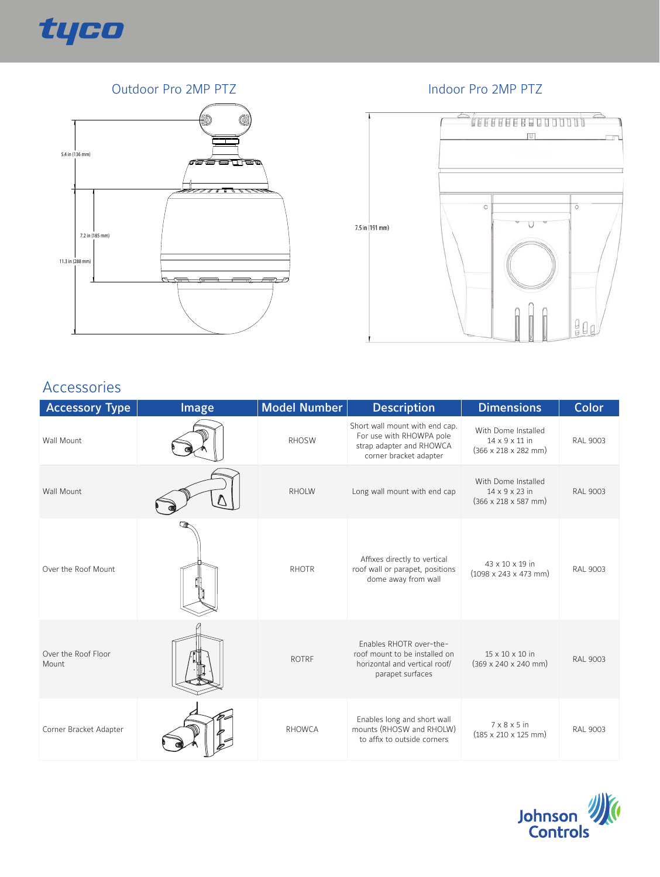

### Outdoor Pro 2MP PTZ **Indoor Pro 2MP PTZ**





## Accessories

| <b>Accessory Type</b>        | Image | Model Number  | <b>Description</b>                                                                                               | <b>Dimensions</b>                                                                             | <b>Color</b>    |
|------------------------------|-------|---------------|------------------------------------------------------------------------------------------------------------------|-----------------------------------------------------------------------------------------------|-----------------|
| <b>Wall Mount</b>            |       | <b>RHOSW</b>  | Short wall mount with end cap.<br>For use with RHOWPA pole<br>strap adapter and RHOWCA<br>corner bracket adapter | With Dome Installed<br>14 x 9 x 11 in<br>$(366 \times 218 \times 282 \text{ mm})$             | <b>RAL 9003</b> |
| <b>Wall Mount</b>            |       | <b>RHOLW</b>  | Long wall mount with end cap                                                                                     | With Dome Installed<br>$14 \times 9 \times 23$ in<br>$(366 \times 218 \times 587 \text{ mm})$ | <b>RAL 9003</b> |
| Over the Roof Mount          |       | <b>RHOTR</b>  | Affixes directly to vertical<br>roof wall or parapet, positions<br>dome away from wall                           | 43 x 10 x 19 in<br>$(1098 \times 243 \times 473 \text{ mm})$                                  | <b>RAL 9003</b> |
| Over the Roof Floor<br>Mount |       | <b>ROTRF</b>  | Fnables RHOTR over-the-<br>roof mount to be installed on<br>horizontal and vertical roof/<br>parapet surfaces    | 15 x 10 x 10 in<br>$(369 \times 240 \times 240 \text{ mm})$                                   | <b>RAL 9003</b> |
| Corner Bracket Adapter       |       | <b>RHOWCA</b> | Enables long and short wall<br>mounts (RHOSW and RHOLW)<br>to affix to outside corners                           | $7 \times 8 \times 5$ in<br>$(185 \times 210 \times 125 \text{ mm})$                          | <b>RAL 9003</b> |

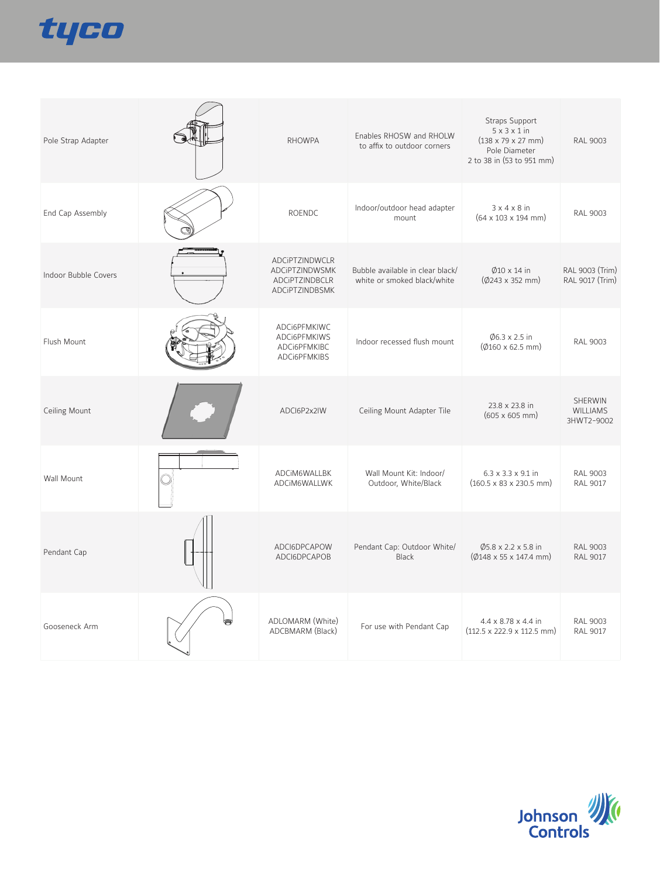

| Pole Strap Adapter   | <b>RHOWPA</b>                                                        | Enables RHOSW and RHOLW<br>to affix to outdoor corners          | Straps Support<br>$5 \times 3 \times 1$ in<br>$(138 \times 79 \times 27 \text{ mm})$<br>Pole Diameter<br>2 to 38 in (53 to 951 mm) | RAL 9003                                        |
|----------------------|----------------------------------------------------------------------|-----------------------------------------------------------------|------------------------------------------------------------------------------------------------------------------------------------|-------------------------------------------------|
| End Cap Assembly     | ROENDC                                                               | Indoor/outdoor head adapter<br>mount                            | $3 \times 4 \times 8$ in<br>$(64 \times 103 \times 194 \text{ mm})$                                                                | RAL 9003                                        |
| Indoor Bubble Covers | ADCiPTZINDWCLR<br>ADCiPTZINDWSMK<br>ADCiPTZINDBCLR<br>ADCiPTZINDBSMK | Bubble available in clear black/<br>white or smoked black/white | $\emptyset$ 10 x 14 in<br>$(\phi$ 243 x 352 mm)                                                                                    | RAL 9003 (Trim)<br>RAL 9017 (Trim)              |
| Flush Mount          | ADCi6PFMKIWC<br>ADCi6PFMKIWS<br>ADCi6PFMKIBC<br>ADCi6PFMKIBS         | Indoor recessed flush mount                                     | $\varnothing$ 6.3 x 2.5 in<br>$(\emptyset$ 160 x 62.5 mm)                                                                          | <b>RAL 9003</b>                                 |
| Ceiling Mount        | ADCI6P2x2IW                                                          | Ceiling Mount Adapter Tile                                      | 23.8 x 23.8 in<br>$(605 \times 605 \text{ mm})$                                                                                    | <b>SHERWIN</b><br><b>WILLIAMS</b><br>3HWT2-9002 |
| Wall Mount           | ADCIM6WALLBK<br>ADCIM6WALLWK                                         | Wall Mount Kit: Indoor/<br>Outdoor, White/Black                 | 6.3 x 3.3 x 9.1 in<br>$(160.5 \times 83 \times 230.5 \text{ mm})$                                                                  | RAL 9003<br>RAL 9017                            |
| Pendant Cap          | ADCI6DPCAPOW<br>ADCI6DPCAPOB                                         | Pendant Cap: Outdoor White/<br><b>Black</b>                     | $\varphi$ 5.8 x 2.2 x 5.8 in<br>$(\emptyset$ 148 x 55 x 147.4 mm)                                                                  | <b>RAL 9003</b><br>RAL 9017                     |
| Gooseneck Arm        | ADLOMARM (White)<br>ADCBMARM (Black)                                 | For use with Pendant Cap                                        | $4.4 \times 8.78 \times 4.4$ in<br>$(112.5 \times 222.9 \times 112.5 \text{ mm})$                                                  | <b>RAL 9003</b><br><b>RAL 9017</b>              |

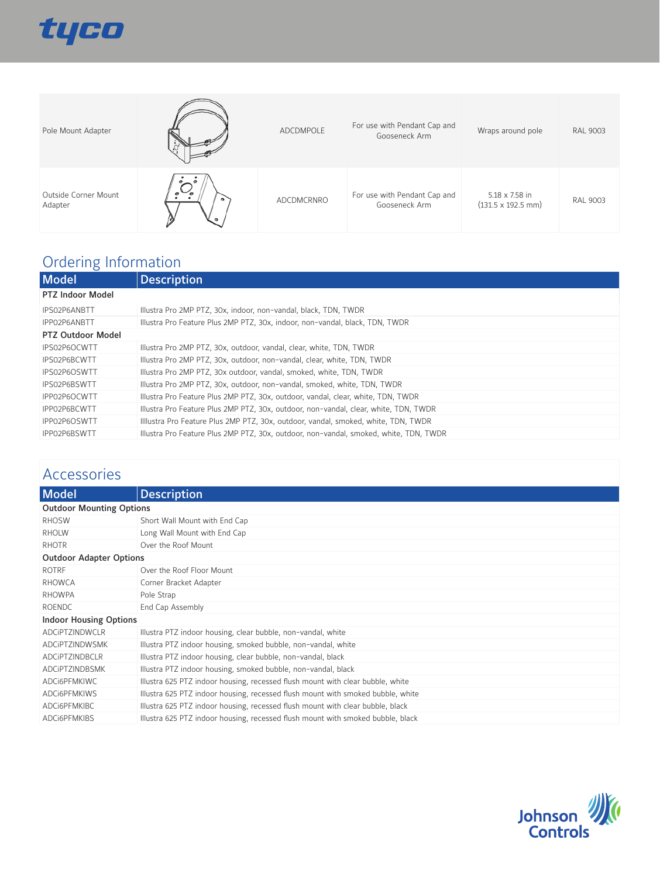

| Pole Mount Adapter              |                               | ADCDMPOLE  | For use with Pendant Cap and<br>Gooseneck Arm | Wraps around pole                                   | <b>RAL 9003</b> |
|---------------------------------|-------------------------------|------------|-----------------------------------------------|-----------------------------------------------------|-----------------|
| Outside Corner Mount<br>Adapter | $\epsilon$<br>ໍາ<br>$\bullet$ | ADCDMCRNRO | For use with Pendant Cap and<br>Gooseneck Arm | 5.18 x 7.58 in<br>$(131.5 \times 192.5 \text{ mm})$ | <b>RAL 9003</b> |

# Ordering Information

| <b>Model</b>      | <b>Description</b>                                                                    |
|-------------------|---------------------------------------------------------------------------------------|
| PTZ Indoor Model  |                                                                                       |
| IPS02P6ANBTT      | Illustra Pro 2MP PTZ, 30x, indoor, non-vandal, black, TDN, TWDR                       |
| IPP02P6ANBTT      | Illustra Pro Feature Plus 2MP PTZ, 30x, indoor, non-vandal, black, TDN, TWDR          |
| PTZ Outdoor Model |                                                                                       |
| IPS02P6OCWTT      | Illustra Pro 2MP PTZ, 30x, outdoor, vandal, clear, white, TDN, TWDR                   |
| IPS02P6BCWTT      | Illustra Pro 2MP PTZ, 30x, outdoor, non-vandal, clear, white, TDN, TWDR               |
| IPS02P6OSWTT      | Illustra Pro 2MP PTZ, 30x outdoor, vandal, smoked, white, TDN, TWDR                   |
| IPS02P6BSWTT      | Illustra Pro 2MP PTZ, 30x, outdoor, non-vandal, smoked, white, TDN, TWDR              |
| IPP02P6OCWTT      | Illustra Pro Feature Plus 2MP PTZ, 30x, outdoor, vandal, clear, white, TDN, TWDR      |
| IPP02P6BCWTT      | Illustra Pro Feature Plus 2MP PTZ, 30x, outdoor, non-vandal, clear, white, TDN, TWDR  |
| IPP02P6OSWTT      | Illlustra Pro Feature Plus 2MP PTZ, 30x, outdoor, vandal, smoked, white, TDN, TWDR    |
| IPP02P6BSWTT      | Illustra Pro Feature Plus 2MP PTZ, 30x, outdoor, non-vandal, smoked, white, TDN, TWDR |

# Accessories

| <b>Model</b>                    | <b>Description</b>                                                              |  |
|---------------------------------|---------------------------------------------------------------------------------|--|
| <b>Outdoor Mounting Options</b> |                                                                                 |  |
| <b>RHOSW</b>                    | Short Wall Mount with End Cap                                                   |  |
| <b>RHOLW</b>                    | Long Wall Mount with End Cap                                                    |  |
| <b>RHOTR</b>                    | Over the Roof Mount                                                             |  |
| <b>Outdoor Adapter Options</b>  |                                                                                 |  |
| <b>ROTRF</b>                    | Over the Roof Floor Mount                                                       |  |
| <b>RHOWCA</b>                   | Corner Bracket Adapter                                                          |  |
| <b>RHOWPA</b>                   | Pole Strap                                                                      |  |
| <b>ROENDC</b>                   | End Cap Assembly                                                                |  |
| <b>Indoor Housing Options</b>   |                                                                                 |  |
| ADCIPTZINDWCLR                  | Illustra PTZ indoor housing, clear bubble, non-vandal, white                    |  |
| ADCIPTZINDWSMK                  | Illustra PTZ indoor housing, smoked bubble, non-vandal, white                   |  |
| ADCIPTZINDBCLR                  | Illustra PTZ indoor housing, clear bubble, non-vandal, black                    |  |
| <b>ADCIPTZINDBSMK</b>           | Illustra PTZ indoor housing, smoked bubble, non-vandal, black                   |  |
| ADCI6PFMKIWC                    | Illustra 625 PTZ indoor housing, recessed flush mount with clear bubble, white  |  |
| ADCI6PFMKIWS                    | Illustra 625 PTZ indoor housing, recessed flush mount with smoked bubble, white |  |
| ADCI6PFMKIBC                    | Illustra 625 PTZ indoor housing, recessed flush mount with clear bubble, black  |  |
| ADCI6PFMKIBS                    | Illustra 625 PTZ indoor housing, recessed flush mount with smoked bubble, black |  |